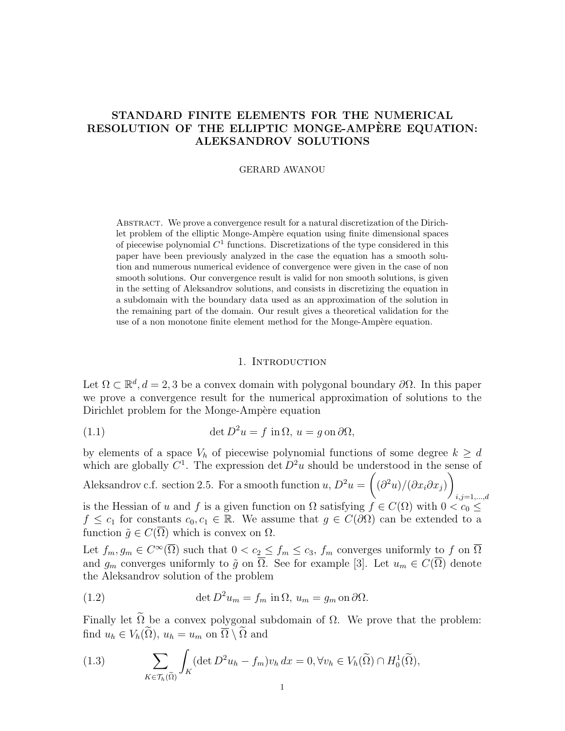# STANDARD FINITE ELEMENTS FOR THE NUMERICAL RESOLUTION OF THE ELLIPTIC MONGE-AMPERE EQUATION: ALEKSANDROV SOLUTIONS

GERARD AWANOU

Abstract. We prove a convergence result for a natural discretization of the Dirichlet problem of the elliptic Monge-Ampère equation using finite dimensional spaces of piecewise polynomial  $C<sup>1</sup>$  functions. Discretizations of the type considered in this paper have been previously analyzed in the case the equation has a smooth solution and numerous numerical evidence of convergence were given in the case of non smooth solutions. Our convergence result is valid for non smooth solutions, is given in the setting of Aleksandrov solutions, and consists in discretizing the equation in a subdomain with the boundary data used as an approximation of the solution in the remaining part of the domain. Our result gives a theoretical validation for the use of a non monotone finite element method for the Monge-Ampère equation.

### 1. Introduction

Let  $\Omega \subset \mathbb{R}^d, d = 2, 3$  be a convex domain with polygonal boundary  $\partial \Omega$ . In this paper we prove a convergence result for the numerical approximation of solutions to the Dirichlet problem for the Monge-Ampère equation

(1.1) 
$$
\det D^2 u = f \text{ in } \Omega, u = g \text{ on } \partial \Omega,
$$

by elements of a space  $V_h$  of piecewise polynomial functions of some degree  $k \geq d$ which are globally  $C^1$ . The expression det  $D^2u$  should be understood in the sense of

Aleksandrov c.f. section 2.5. For a smooth function  $u, D^2u = \left( \begin{array}{c} 0 & 0 \\ 0 & 0 \end{array} \right)$  $(\partial^2 u)/(\partial x_i \partial x_j)$  $i,j=1,...,d$ is the Hessian of u and f is a given function on  $\Omega$  satisfying  $f \in C(\Omega)$  with  $0 < c_0 \le$  $f \leq c_1$  for constants  $c_0, c_1 \in \mathbb{R}$ . We assume that  $g \in C(\partial\Omega)$  can be extended to a function  $\tilde{g} \in C(\overline{\Omega})$  which is convex on  $\Omega$ .

Let  $f_m, g_m \in C^{\infty}(\overline{\Omega})$  such that  $0 < c_2 \le f_m \le c_3$ ,  $f_m$  converges uniformly to f on  $\overline{\Omega}$ and  $g_m$  converges uniformly to  $\tilde{g}$  on  $\overline{\Omega}$ . See for example [3]. Let  $u_m \in C(\overline{\Omega})$  denote the Aleksandrov solution of the problem

(1.2) 
$$
\det D^2 u_m = f_m \text{ in } \Omega, u_m = g_m \text{ on } \partial \Omega.
$$

Finally let  $\widetilde{\Omega}$  be a convex polygonal subdomain of  $\Omega$ . We prove that the problem: find  $u_h \in V_h(\widetilde{\Omega})$ ,  $u_h = u_m$  on  $\overline{\Omega} \setminus \widetilde{\Omega}$  and

(1.3) 
$$
\sum_{K \in \mathcal{T}_h(\widetilde{\Omega})} \int_K (\det D^2 u_h - f_m) v_h dx = 0, \forall v_h \in V_h(\widetilde{\Omega}) \cap H_0^1(\widetilde{\Omega}),
$$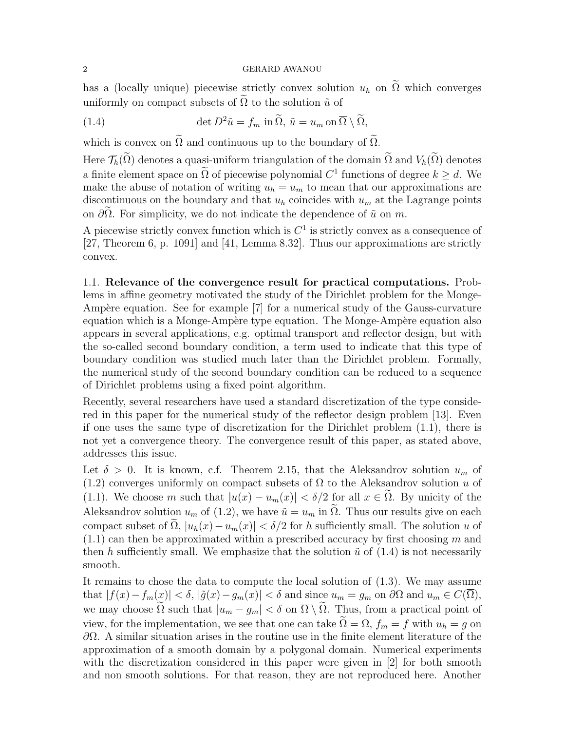has a (locally unique) piecewise strictly convex solution  $u_h$  on  $\tilde{\Omega}$  which converges uniformly on compact subsets of  $\tilde{\Omega}$  to the solution  $\tilde{u}$  of

(1.4) 
$$
\det D^2 \tilde{u} = f_m \text{ in } \tilde{\Omega}, \ \tilde{u} = u_m \text{ on } \overline{\Omega} \setminus \tilde{\Omega},
$$

which is convex on  $\widetilde{\Omega}$  and continuous up to the boundary of  $\widetilde{\Omega}$ .

Here  $\mathcal{T}_h(\tilde{\Omega})$  denotes a quasi-uniform triangulation of the domain  $\tilde{\Omega}$  and  $V_h(\tilde{\Omega})$  denotes a finite element space on  $\Omega$  of piecewise polynomial  $C^1$  functions of degree  $k \geq d$ . We make the abuse of notation of writing  $u_h = u_m$  to mean that our approximations are discontinuous on the boundary and that  $u_h$  coincides with  $u_m$  at the Lagrange points on  $\partial\Omega$ . For simplicity, we do not indicate the dependence of  $\tilde{u}$  on m.

A piecewise strictly convex function which is  $C<sup>1</sup>$  is strictly convex as a consequence of [27, Theorem 6, p. 1091] and [41, Lemma 8.32]. Thus our approximations are strictly convex.

1.1. Relevance of the convergence result for practical computations. Problems in affine geometry motivated the study of the Dirichlet problem for the Monge-Ampère equation. See for example [7] for a numerical study of the Gauss-curvature equation which is a Monge-Ampère type equation. The Monge-Ampère equation also appears in several applications, e.g. optimal transport and reflector design, but with the so-called second boundary condition, a term used to indicate that this type of boundary condition was studied much later than the Dirichlet problem. Formally, the numerical study of the second boundary condition can be reduced to a sequence of Dirichlet problems using a fixed point algorithm.

Recently, several researchers have used a standard discretization of the type considered in this paper for the numerical study of the reflector design problem [13]. Even if one uses the same type of discretization for the Dirichlet problem (1.1), there is not yet a convergence theory. The convergence result of this paper, as stated above, addresses this issue.

Let  $\delta > 0$ . It is known, c.f. Theorem 2.15, that the Aleksandrov solution  $u_m$  of (1.2) converges uniformly on compact subsets of  $\Omega$  to the Aleksandrov solution u of (1.1). We choose m such that  $|u(x) - u_m(x)| < \delta/2$  for all  $x \in \tilde{\Omega}$ . By unicity of the Aleksandrov solution  $u_m$  of (1.2), we have  $\tilde{u} = u_m$  in  $\tilde{\Omega}$ . Thus our results give on each compact subset of  $\tilde{\Omega}$ ,  $|u_h(x)-u_m(x)| < \delta/2$  for h sufficiently small. The solution u of  $(1.1)$  can then be approximated within a prescribed accuracy by first choosing m and then h sufficiently small. We emphasize that the solution  $\tilde{u}$  of (1.4) is not necessarily smooth.

It remains to chose the data to compute the local solution of (1.3). We may assume that  $|f(x)-f_m(x)| < \delta$ ,  $|\tilde{g}(x)-g_m(x)| < \delta$  and since  $u_m = g_m$  on  $\partial\Omega$  and  $u_m \in C(\overline{\Omega})$ , we may choose  $\tilde{\Omega}$  such that  $|u_m - g_m| < \delta$  on  $\overline{\Omega} \setminus \tilde{\Omega}$ . Thus, from a practical point of view, for the implementation, we see that one can take  $\tilde{\Omega} = \Omega$ ,  $f_m = f$  with  $u_h = g$  on  $\partial Ω$ . A similar situation arises in the routine use in the finite element literature of the approximation of a smooth domain by a polygonal domain. Numerical experiments with the discretization considered in this paper were given in [2] for both smooth and non smooth solutions. For that reason, they are not reproduced here. Another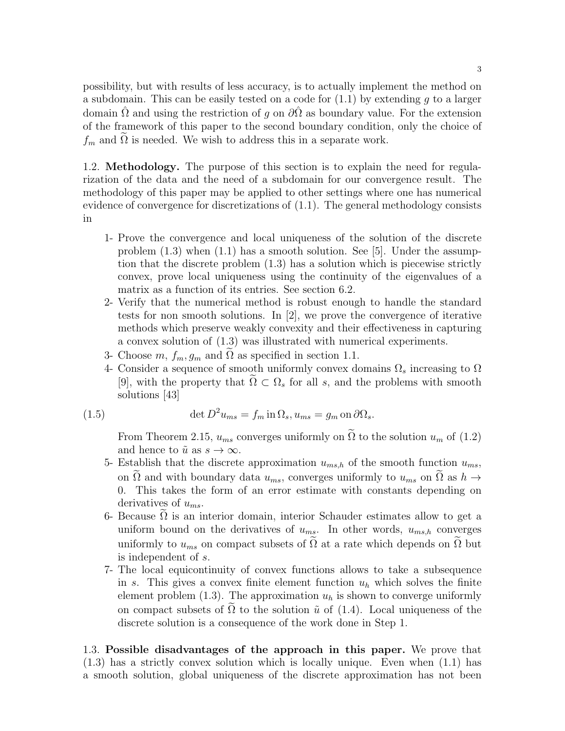possibility, but with results of less accuracy, is to actually implement the method on a subdomain. This can be easily tested on a code for  $(1.1)$  by extending q to a larger domain  $\Omega$  and using the restriction of q on  $\partial\Omega$  as boundary value. For the extension of the framework of this paper to the second boundary condition, only the choice of  $f_m$  and  $\Omega$  is needed. We wish to address this in a separate work.

1.2. Methodology. The purpose of this section is to explain the need for regularization of the data and the need of a subdomain for our convergence result. The methodology of this paper may be applied to other settings where one has numerical evidence of convergence for discretizations of (1.1). The general methodology consists in

- 1- Prove the convergence and local uniqueness of the solution of the discrete problem  $(1.3)$  when  $(1.1)$  has a smooth solution. See [5]. Under the assumption that the discrete problem (1.3) has a solution which is piecewise strictly convex, prove local uniqueness using the continuity of the eigenvalues of a matrix as a function of its entries. See section 6.2.
- 2- Verify that the numerical method is robust enough to handle the standard tests for non smooth solutions. In [2], we prove the convergence of iterative methods which preserve weakly convexity and their effectiveness in capturing a convex solution of (1.3) was illustrated with numerical experiments.
- 3- Choose  $m, f_m, g_m$  and  $\Omega$  as specified in section 1.1.
- 4- Consider a sequence of smooth uniformly convex domains  $\Omega_s$  increasing to  $\Omega$ [9], with the property that  $\tilde{\Omega} \subset \Omega_s$  for all s, and the problems with smooth solutions [43]

(1.5) 
$$
\det D^2 u_{ms} = f_m \operatorname{in} \Omega_s, u_{ms} = g_m \operatorname{on} \partial \Omega_s.
$$

From Theorem 2.15,  $u_{ms}$  converges uniformly on  $\tilde{\Omega}$  to the solution  $u_m$  of  $(1.2)$ and hence to  $\tilde{u}$  as  $s \to \infty$ .

- 5- Establish that the discrete approximation  $u_{ms,h}$  of the smooth function  $u_{ms}$ , on  $\Omega$  and with boundary data  $u_{ms}$ , converges uniformly to  $u_{ms}$  on  $\Omega$  as  $h \to$ 0. This takes the form of an error estimate with constants depending on derivatives of  $u_{ms}$ .
- 6- Because  $\Omega$  is an interior domain, interior Schauder estimates allow to get a uniform bound on the derivatives of  $u_{ms}$ . In other words,  $u_{ms,h}$  converges uniformly to  $u_{ms}$  on compact subsets of  $\Omega$  at a rate which depends on  $\Omega$  but is independent of s.
- 7- The local equicontinuity of convex functions allows to take a subsequence in s. This gives a convex finite element function  $u<sub>h</sub>$  which solves the finite element problem  $(1.3)$ . The approximation  $u<sub>h</sub>$  is shown to converge uniformly on compact subsets of  $\Omega$  to the solution  $\tilde{u}$  of (1.4). Local uniqueness of the discrete solution is a consequence of the work done in Step 1.

1.3. Possible disadvantages of the approach in this paper. We prove that (1.3) has a strictly convex solution which is locally unique. Even when (1.1) has a smooth solution, global uniqueness of the discrete approximation has not been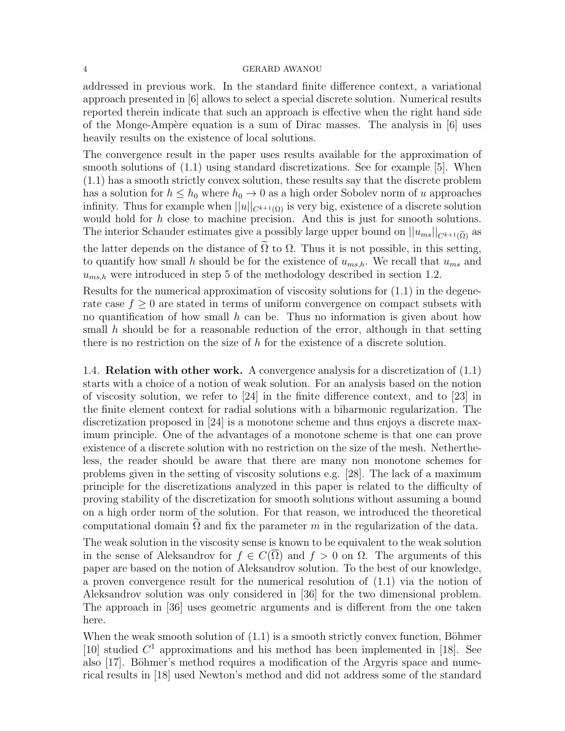addressed in previous work. In the standard finite difference context, a variational approach presented in [6] allows to select a special discrete solution. Numerical results reported therein indicate that such an approach is effective when the right hand side of the Monge-Ampère equation is a sum of Dirac masses. The analysis in  $[6]$  uses heavily results on the existence of local solutions.

The convergence result in the paper uses results available for the approximation of smooth solutions of (1.1) using standard discretizations. See for example [5]. When (1.1) has a smooth strictly convex solution, these results say that the discrete problem has a solution for  $h \leq h_0$  where  $h_0 \to 0$  as a high order Sobolev norm of u approaches infinity. Thus for example when  $||u||_{C^{k+1}(\Omega)}$  is very big, existence of a discrete solution would hold for h close to machine precision. And this is just for smooth solutions. The interior Schauder estimates give a possibly large upper bound on  $||u_{ms}||_{C^{k+1}(\tilde{\Omega})}$  as the latter depends on the distance of  $\tilde{\Omega}$  to  $\Omega$ . Thus it is not possible, in this setting, to quantify how small h should be for the existence of  $u_{ms,h}$ . We recall that  $u_{ms}$  and  $u_{ms,h}$  were introduced in step 5 of the methodology described in section 1.2.

Results for the numerical approximation of viscosity solutions for (1.1) in the degenerate case  $f \geq 0$  are stated in terms of uniform convergence on compact subsets with no quantification of how small h can be. Thus no information is given about how small h should be for a reasonable reduction of the error, although in that setting there is no restriction on the size of h for the existence of a discrete solution.

1.4. **Relation with other work.** A convergence analysis for a discretization of  $(1.1)$ starts with a choice of a notion of weak solution. For an analysis based on the notion of viscosity solution, we refer to [24] in the finite difference context, and to [23] in the finite element context for radial solutions with a biharmonic regularization. The discretization proposed in [24] is a monotone scheme and thus enjoys a discrete maximum principle. One of the advantages of a monotone scheme is that one can prove existence of a discrete solution with no restriction on the size of the mesh. Nethertheless, the reader should be aware that there are many non monotone schemes for problems given in the setting of viscosity solutions e.g. [28]. The lack of a maximum principle for the discretizations analyzed in this paper is related to the difficulty of proving stability of the discretization for smooth solutions without assuming a bound on a high order norm of the solution. For that reason, we introduced the theoretical computational domain  $\Omega$  and fix the parameter m in the regularization of the data.

The weak solution in the viscosity sense is known to be equivalent to the weak solution in the sense of Aleksandrov for  $f \in C(\Omega)$  and  $f > 0$  on  $\Omega$ . The arguments of this paper are based on the notion of Aleksandrov solution. To the best of our knowledge, a proven convergence result for the numerical resolution of (1.1) via the notion of Aleksandrov solution was only considered in [36] for the two dimensional problem. The approach in [36] uses geometric arguments and is different from the one taken here.

When the weak smooth solution of  $(1.1)$  is a smooth strictly convex function, Böhmer [10] studied  $C^1$  approximations and his method has been implemented in [18]. See also  $[17]$ . Böhmer's method requires a modification of the Argyris space and numerical results in [18] used Newton's method and did not address some of the standard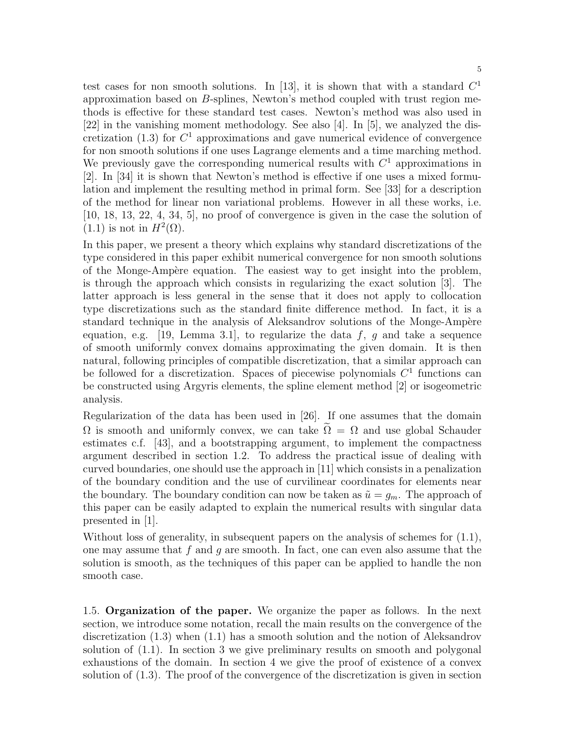test cases for non smooth solutions. In [13], it is shown that with a standard  $C<sup>1</sup>$ approximation based on B-splines, Newton's method coupled with trust region methods is effective for these standard test cases. Newton's method was also used in [22] in the vanishing moment methodology. See also [4]. In [5], we analyzed the discretization  $(1.3)$  for  $C<sup>1</sup>$  approximations and gave numerical evidence of convergence for non smooth solutions if one uses Lagrange elements and a time marching method. We previously gave the corresponding numerical results with  $C<sup>1</sup>$  approximations in [2]. In [34] it is shown that Newton's method is effective if one uses a mixed formulation and implement the resulting method in primal form. See [33] for a description of the method for linear non variational problems. However in all these works, i.e. [10, 18, 13, 22, 4, 34, 5], no proof of convergence is given in the case the solution of  $(1.1)$  is not in  $H^2(\Omega)$ .

In this paper, we present a theory which explains why standard discretizations of the type considered in this paper exhibit numerical convergence for non smooth solutions of the Monge-Amp`ere equation. The easiest way to get insight into the problem, is through the approach which consists in regularizing the exact solution [3]. The latter approach is less general in the sense that it does not apply to collocation type discretizations such as the standard finite difference method. In fact, it is a standard technique in the analysis of Aleksandrov solutions of the Monge-Ampère equation, e.g. [19, Lemma 3.1], to regularize the data f, g and take a sequence of smooth uniformly convex domains approximating the given domain. It is then natural, following principles of compatible discretization, that a similar approach can be followed for a discretization. Spaces of piecewise polynomials  $C<sup>1</sup>$  functions can be constructed using Argyris elements, the spline element method [2] or isogeometric analysis.

Regularization of the data has been used in [26]. If one assumes that the domain  $\Omega$  is smooth and uniformly convex, we can take  $\Omega = \Omega$  and use global Schauder estimates c.f. [43], and a bootstrapping argument, to implement the compactness argument described in section 1.2. To address the practical issue of dealing with curved boundaries, one should use the approach in [11] which consists in a penalization of the boundary condition and the use of curvilinear coordinates for elements near the boundary. The boundary condition can now be taken as  $\tilde{u} = g_m$ . The approach of this paper can be easily adapted to explain the numerical results with singular data presented in [1].

Without loss of generality, in subsequent papers on the analysis of schemes for  $(1.1)$ , one may assume that f and q are smooth. In fact, one can even also assume that the solution is smooth, as the techniques of this paper can be applied to handle the non smooth case.

1.5. Organization of the paper. We organize the paper as follows. In the next section, we introduce some notation, recall the main results on the convergence of the discretization (1.3) when (1.1) has a smooth solution and the notion of Aleksandrov solution of (1.1). In section 3 we give preliminary results on smooth and polygonal exhaustions of the domain. In section 4 we give the proof of existence of a convex solution of (1.3). The proof of the convergence of the discretization is given in section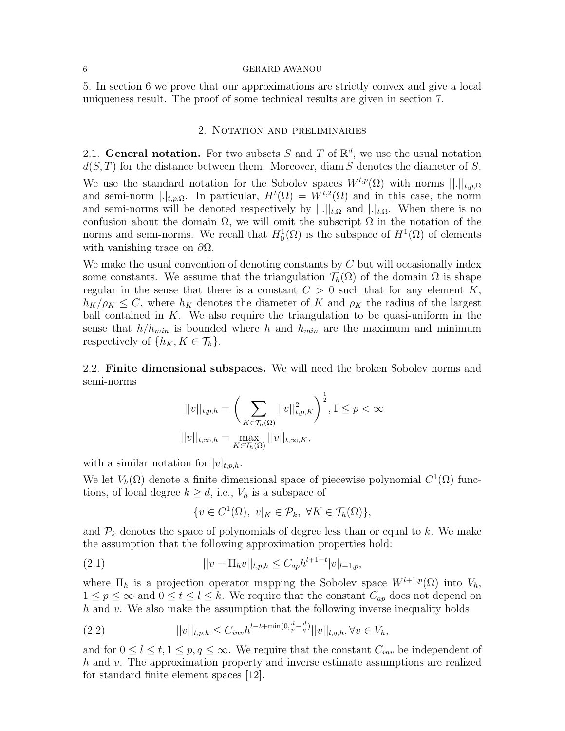5. In section 6 we prove that our approximations are strictly convex and give a local uniqueness result. The proof of some technical results are given in section 7.

### 2. Notation and preliminaries

2.1. General notation. For two subsets S and T of  $\mathbb{R}^d$ , we use the usual notation  $d(S, T)$  for the distance between them. Moreover, diam S denotes the diameter of S.

We use the standard notation for the Sobolev spaces  $W^{t,p}(\Omega)$  with norms  $||.||_{t,p,\Omega}$ and semi-norm  $|.|_{t,p,\Omega}$ . In particular,  $H^t(\Omega) = W^{t,2}(\Omega)$  and in this case, the norm and semi-norms will be denoted respectively by  $||.||_{t,\Omega}$  and  $||.||_{t,\Omega}$ . When there is no confusion about the domain  $\Omega$ , we will omit the subscript  $\Omega$  in the notation of the norms and semi-norms. We recall that  $H_0^1(\Omega)$  is the subspace of  $H^1(\Omega)$  of elements with vanishing trace on  $\partial\Omega$ .

We make the usual convention of denoting constants by  $C$  but will occasionally index some constants. We assume that the triangulation  $\mathcal{T}_h(\Omega)$  of the domain  $\Omega$  is shape regular in the sense that there is a constant  $C > 0$  such that for any element K,  $h_K/\rho_K \leq C$ , where  $h_K$  denotes the diameter of K and  $\rho_K$  the radius of the largest ball contained in  $K$ . We also require the triangulation to be quasi-uniform in the sense that  $h/h_{min}$  is bounded where h and  $h_{min}$  are the maximum and minimum respectively of  $\{h_K, K \in \mathcal{T}_h\}.$ 

2.2. Finite dimensional subspaces. We will need the broken Sobolev norms and semi-norms

$$
||v||_{t,p,h} = \left(\sum_{K \in \mathcal{T}_h(\Omega)} ||v||_{t,p,K}^2\right)^{\frac{1}{2}}, 1 \le p < \infty
$$
  

$$
||v||_{t,\infty,h} = \max_{K \in \mathcal{T}_h(\Omega)} ||v||_{t,\infty,K},
$$

with a similar notation for  $|v|_{t,p,h}$ .

We let  $V_h(\Omega)$  denote a finite dimensional space of piecewise polynomial  $C^1(\Omega)$  functions, of local degree  $k \geq d$ , i.e.,  $V_h$  is a subspace of

$$
\{v \in C^1(\Omega), v|_K \in \mathcal{P}_k, \ \forall K \in \mathcal{T}_h(\Omega)\},\
$$

and  $P_k$  denotes the space of polynomials of degree less than or equal to k. We make the assumption that the following approximation properties hold:

(2.1) 
$$
||v - \Pi_h v||_{t,p,h} \leq C_{ap} h^{l+1-t} |v|_{l+1,p},
$$

where  $\Pi_h$  is a projection operator mapping the Sobolev space  $W^{l+1,p}(\Omega)$  into  $V_h$ ,  $1 \leq p \leq \infty$  and  $0 \leq t \leq l \leq k$ . We require that the constant  $C_{ap}$  does not depend on  $h$  and  $v$ . We also make the assumption that the following inverse inequality holds

(2.2) 
$$
||v||_{t,p,h} \leq C_{inv} h^{l-t+\min(0,\frac{d}{p}-\frac{d}{q})} ||v||_{l,q,h}, \forall v \in V_h,
$$

and for  $0 \leq l \leq t, 1 \leq p, q \leq \infty$ . We require that the constant  $C_{inv}$  be independent of h and v. The approximation property and inverse estimate assumptions are realized for standard finite element spaces [12].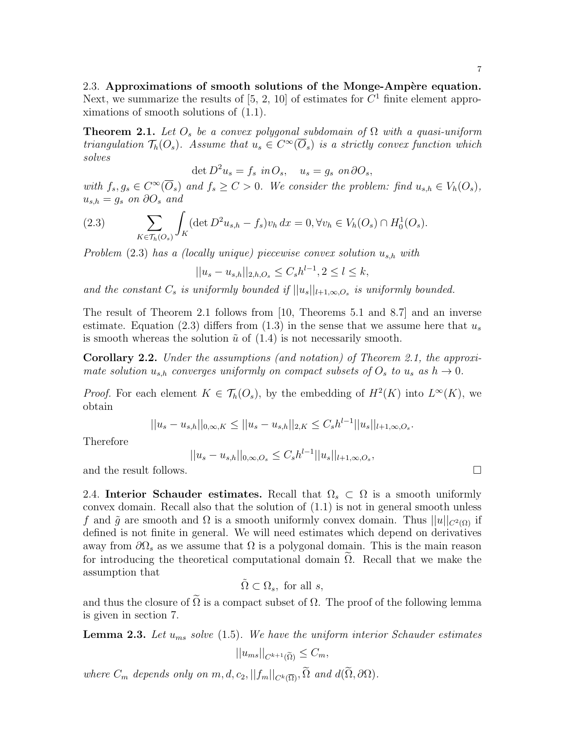**Theorem 2.1.** Let  $O_s$  be a convex polygonal subdomain of  $\Omega$  with a quasi-uniform triangulation  $\mathcal{T}_h(O_s)$ . Assume that  $u_s \in C^{\infty}(\overline{O}_s)$  is a strictly convex function which solves

det  $D^2 u_s = f_s$  in  $O_s$ ,  $u_s = g_s$  on  $\partial O_s$ ,

with  $f_s, g_s \in C^{\infty}(\overline{O}_s)$  and  $f_s \ge C > 0$ . We consider the problem: find  $u_{s,h} \in V_h(O_s)$ ,  $u_{s,h} = g_s$  on  $\partial O_s$  and

(2.3) 
$$
\sum_{K \in \mathcal{T}_h(O_s)} \int_K (\det D^2 u_{s,h} - f_s) v_h \, dx = 0, \forall v_h \in V_h(O_s) \cap H_0^1(O_s).
$$

Problem  $(2.3)$  has a (locally unique) piecewise convex solution  $u_{s,h}$  with

$$
||u_s - u_{s,h}||_{2,h,O_s} \le C_s h^{l-1}, 2 \le l \le k,
$$

and the constant  $C_s$  is uniformly bounded if  $||u_s||_{l+1,\infty,O_s}$  is uniformly bounded.

The result of Theorem 2.1 follows from [10, Theorems 5.1 and 8.7] and an inverse estimate. Equation (2.3) differs from (1.3) in the sense that we assume here that  $u_s$ is smooth whereas the solution  $\tilde{u}$  of (1.4) is not necessarily smooth.

Corollary 2.2. Under the assumptions (and notation) of Theorem 2.1, the approximate solution  $u_{s,h}$  converges uniformly on compact subsets of  $O_s$  to  $u_s$  as  $h \to 0$ .

*Proof.* For each element  $K \in \mathcal{T}_h(O_s)$ , by the embedding of  $H^2(K)$  into  $L^{\infty}(K)$ , we obtain

$$
||u_s - u_{s,h}||_{0,\infty,K} \le ||u_s - u_{s,h}||_{2,K} \le C_s h^{l-1} ||u_s||_{l+1,\infty,O_s}.
$$

Therefore

 $||u_s - u_{s,h}||_{0,\infty,O_s} \leq C_s h^{l-1} ||u_s||_{l+1,\infty,O_s},$ 

and the result follows.

2.4. Interior Schauder estimates. Recall that  $\Omega_s \subset \Omega$  is a smooth uniformly convex domain. Recall also that the solution of (1.1) is not in general smooth unless f and  $\tilde{q}$  are smooth and  $\Omega$  is a smooth uniformly convex domain. Thus  $||u||_{C^{2}(\Omega)}$  if defined is not finite in general. We will need estimates which depend on derivatives away from  $\partial\Omega_s$  as we assume that  $\Omega$  is a polygonal domain. This is the main reason for introducing the theoretical computational domain  $\Omega$ . Recall that we make the assumption that

$$
\tilde{\Omega} \subset \Omega_s, \text{ for all } s,
$$

and thus the closure of  $\Omega$  is a compact subset of  $\Omega$ . The proof of the following lemma is given in section 7.

**Lemma 2.3.** Let  $u_{ms}$  solve (1.5). We have the uniform interior Schauder estimates

$$
||u_{ms}||_{C^{k+1}(\widetilde{\Omega})} \leq C_m,
$$

where  $C_m$  depends only on  $m, d, c_2, ||f_m||_{C^k(\overline{\Omega})}, \widetilde{\Omega}$  and  $d(\widetilde{\Omega}, \partial \Omega)$ .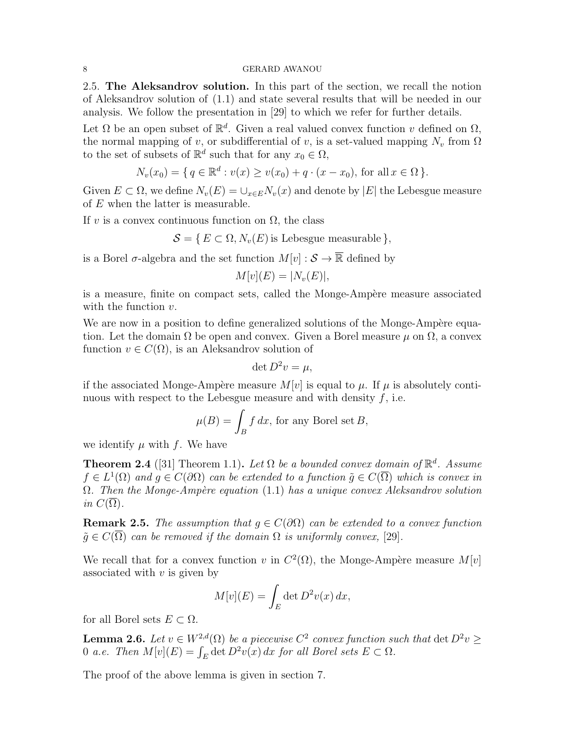2.5. The Aleksandrov solution. In this part of the section, we recall the notion of Aleksandrov solution of (1.1) and state several results that will be needed in our analysis. We follow the presentation in [29] to which we refer for further details.

Let  $\Omega$  be an open subset of  $\mathbb{R}^d$ . Given a real valued convex function v defined on  $\Omega$ , the normal mapping of v, or subdifferential of v, is a set-valued mapping  $N_v$  from  $\Omega$ to the set of subsets of  $\mathbb{R}^d$  such that for any  $x_0 \in \Omega$ ,

$$
N_v(x_0) = \{ q \in \mathbb{R}^d : v(x) \ge v(x_0) + q \cdot (x - x_0), \text{ for all } x \in \Omega \}.
$$

Given  $E \subset \Omega$ , we define  $N_v(E) = \bigcup_{x \in E} N_v(x)$  and denote by  $|E|$  the Lebesgue measure of E when the latter is measurable.

If v is a convex continuous function on  $\Omega$ , the class

 $\mathcal{S} = \{ E \subset \Omega, N_v(E) \text{ is Lebesgue measurable } \},\$ 

is a Borel  $\sigma$ -algebra and the set function  $M[v] : \mathcal{S} \to \overline{\mathbb{R}}$  defined by

$$
M[v](E) = |N_v(E)|,
$$

is a measure, finite on compact sets, called the Monge-Ampère measure associated with the function  $v$ .

We are now in a position to define generalized solutions of the Monge-Ampère equation. Let the domain  $\Omega$  be open and convex. Given a Borel measure  $\mu$  on  $\Omega$ , a convex function  $v \in C(\Omega)$ , is an Aleksandrov solution of

$$
\det D^2 v = \mu,
$$

if the associated Monge-Ampère measure  $M[v]$  is equal to  $\mu$ . If  $\mu$  is absolutely continuous with respect to the Lebesgue measure and with density  $f$ , i.e.

$$
\mu(B) = \int_B f \, dx
$$
, for any Borel set  $B$ ,

we identify  $\mu$  with f. We have

**Theorem 2.4** ([31] Theorem 1.1). Let  $\Omega$  be a bounded convex domain of  $\mathbb{R}^d$ . Assume  $f \in L^1(\Omega)$  and  $g \in C(\partial \Omega)$  can be extended to a function  $\tilde{g} \in C(\overline{\Omega})$  which is convex in  $\Omega$ . Then the Monge-Ampère equation (1.1) has a unique convex Aleksandrov solution in  $C(\Omega)$ .

**Remark 2.5.** The assumption that  $q \in C(\partial\Omega)$  can be extended to a convex function  $\tilde{q} \in C(\overline{\Omega})$  can be removed if the domain  $\Omega$  is uniformly convex, [29].

We recall that for a convex function v in  $C^2(\Omega)$ , the Monge-Ampère measure  $M[v]$ associated with  $v$  is given by

$$
M[v](E) = \int_E \det D^2 v(x) \, dx,
$$

for all Borel sets  $E \subset \Omega$ .

**Lemma 2.6.** Let  $v \in W^{2,d}(\Omega)$  be a piecewise  $C^2$  convex function such that  $\det D^2 v \geq$ 0 a.e. Then  $M[v](E) = \int_E \det D^2v(x) dx$  for all Borel sets  $E \subset \Omega$ .

The proof of the above lemma is given in section 7.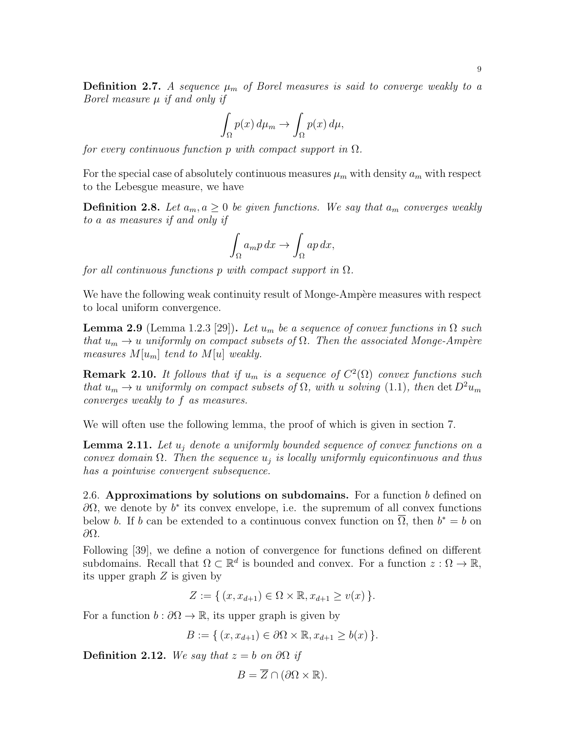**Definition 2.7.** A sequence  $\mu_m$  of Borel measures is said to converge weakly to a Borel measure  $\mu$  if and only if

$$
\int_{\Omega} p(x) d\mu_m \to \int_{\Omega} p(x) d\mu,
$$

for every continuous function p with compact support in  $\Omega$ .

For the special case of absolutely continuous measures  $\mu_m$  with density  $a_m$  with respect to the Lebesgue measure, we have

**Definition 2.8.** Let  $a_m, a \geq 0$  be given functions. We say that  $a_m$  converges weakly to a as measures if and only if

$$
\int_{\Omega} a_m p \, dx \to \int_{\Omega} ap \, dx,
$$

for all continuous functions p with compact support in  $\Omega$ .

We have the following weak continuity result of Monge-Ampère measures with respect to local uniform convergence.

**Lemma 2.9** (Lemma 1.2.3 [29]). Let  $u_m$  be a sequence of convex functions in  $\Omega$  such that  $u_m \to u$  uniformly on compact subsets of  $\Omega$ . Then the associated Monge-Ampère measures  $M[u_m]$  tend to  $M[u]$  weakly.

**Remark 2.10.** It follows that if  $u_m$  is a sequence of  $C^2(\Omega)$  convex functions such that  $u_m \to u$  uniformly on compact subsets of  $\Omega$ , with u solving (1.1), then det  $D^2 u_m$ converges weakly to f as measures.

We will often use the following lemma, the proof of which is given in section 7.

**Lemma 2.11.** Let  $u_i$  denote a uniformly bounded sequence of convex functions on a convex domain  $\Omega$ . Then the sequence  $u_j$  is locally uniformly equicontinuous and thus has a pointwise convergent subsequence.

2.6. Approximations by solutions on subdomains. For a function  $b$  defined on  $\partial\Omega$ , we denote by  $b^*$  its convex envelope, i.e. the supremum of all convex functions below b. If b can be extended to a continuous convex function on  $\overline{\Omega}$ , then  $b^* = b$  on ∂Ω.

Following [39], we define a notion of convergence for functions defined on different subdomains. Recall that  $\Omega \subset \mathbb{R}^d$  is bounded and convex. For a function  $z : \Omega \to \mathbb{R}$ , its upper graph Z is given by

 $Z := \{ (x, x_{d+1}) \in \Omega \times \mathbb{R}, x_{d+1} > v(x) \}.$ 

For a function  $b : \partial\Omega \to \mathbb{R}$ , its upper graph is given by

 $B := \{ (x, x_{d+1}) \in \partial \Omega \times \mathbb{R}, x_{d+1} > b(x) \}.$ 

Definition 2.12. We say that  $z = b$  on  $\partial\Omega$  if

$$
B = \overline{Z} \cap (\partial \Omega \times \mathbb{R}).
$$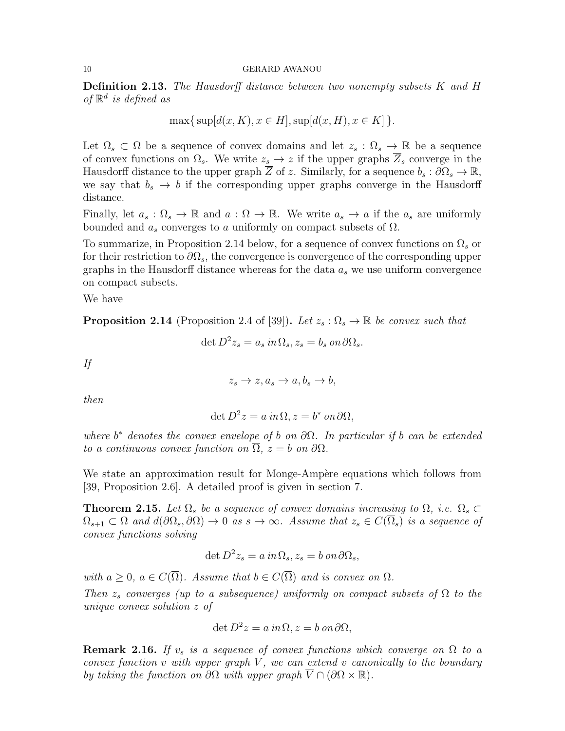**Definition 2.13.** The Hausdorff distance between two nonempty subsets  $K$  and  $H$ of  $\mathbb{R}^d$  is defined as

$$
\max\{\sup[d(x,K),x\in H],\sup[d(x,H),x\in K]\}.
$$

Let  $\Omega_s \subset \Omega$  be a sequence of convex domains and let  $z_s : \Omega_s \to \mathbb{R}$  be a sequence of convex functions on  $\Omega_s$ . We write  $z_s \to z$  if the upper graphs  $Z_s$  converge in the Hausdorff distance to the upper graph  $\overline{Z}$  of z. Similarly, for a sequence  $b_s : \partial \Omega_s \to \mathbb{R}$ , we say that  $b_s \rightarrow b$  if the corresponding upper graphs converge in the Hausdorff distance.

Finally, let  $a_s : \Omega_s \to \mathbb{R}$  and  $a : \Omega \to \mathbb{R}$ . We write  $a_s \to a$  if the  $a_s$  are uniformly bounded and  $a_s$  converges to a uniformly on compact subsets of  $\Omega$ .

To summarize, in Proposition 2.14 below, for a sequence of convex functions on  $\Omega_s$  or for their restriction to  $\partial\Omega_s$ , the convergence is convergence of the corresponding upper graphs in the Hausdorff distance whereas for the data  $a_s$  we use uniform convergence on compact subsets.

We have

**Proposition 2.14** (Proposition 2.4 of [39]). Let  $z_s : \Omega_s \to \mathbb{R}$  be convex such that

$$
\det D^2 z_s = a_s \, in \Omega_s, z_s = b_s \, on \, \partial \Omega_s.
$$

If

$$
z_s \to z, a_s \to a, b_s \to b,
$$

then

$$
\det D^2 z = a \, in \, \Omega, z = b^* \, on \, \partial \Omega,
$$

where  $b^*$  denotes the convex envelope of b on  $\partial\Omega$ . In particular if b can be extended to a continuous convex function on  $\overline{\Omega}$ ,  $z = b$  on  $\partial\Omega$ .

We state an approximation result for Monge-Ampère equations which follows from [39, Proposition 2.6]. A detailed proof is given in section 7.

**Theorem 2.15.** Let  $\Omega_s$  be a sequence of convex domains increasing to  $\Omega$ , i.e.  $\Omega_s \subset$  $\Omega_{s+1} \subset \Omega$  and  $d(\partial \Omega_s, \partial \Omega) \to 0$  as  $s \to \infty$ . Assume that  $z_s \in C(\overline{\Omega}_s)$  is a sequence of convex functions solving

$$
\det D^2 z_s = a \, in \Omega_s, z_s = b \, on \, \partial \Omega_s,
$$

with  $a \geq 0$ ,  $a \in C(\overline{\Omega})$ . Assume that  $b \in C(\overline{\Omega})$  and is convex on  $\Omega$ .

Then  $z_s$  converges (up to a subsequence) uniformly on compact subsets of  $\Omega$  to the unique convex solution z of

$$
\det D^2 z = a \, in \, \Omega, z = b \, on \, \partial \Omega,
$$

**Remark 2.16.** If  $v_s$  is a sequence of convex functions which converge on  $\Omega$  to a convex function  $v$  with upper graph  $V$ , we can extend  $v$  canonically to the boundary by taking the function on  $\partial\Omega$  with upper graph  $\overline{V} \cap (\partial\Omega \times \mathbb{R})$ .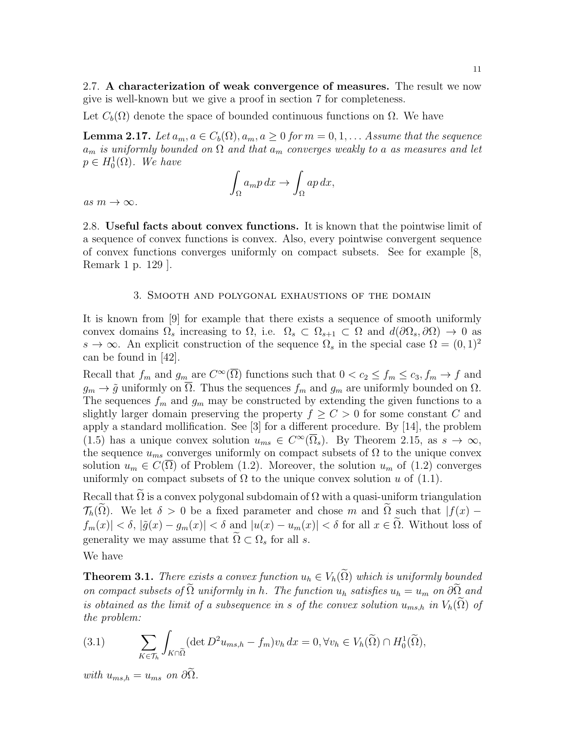2.7. A characterization of weak convergence of measures. The result we now give is well-known but we give a proof in section 7 for completeness.

Let  $C_b(\Omega)$  denote the space of bounded continuous functions on  $\Omega$ . We have

**Lemma 2.17.** Let  $a_m, a \in C_b(\Omega), a_m, a \geq 0$  for  $m = 0, 1, \ldots$  Assume that the sequence  $a_m$  is uniformly bounded on  $\Omega$  and that  $a_m$  converges weakly to a as measures and let  $p \in H_0^1(\Omega)$ . We have

$$
\int_{\Omega} a_m p \, dx \to \int_{\Omega} ap \, dx,
$$

as  $m \to \infty$ .

2.8. Useful facts about convex functions. It is known that the pointwise limit of a sequence of convex functions is convex. Also, every pointwise convergent sequence of convex functions converges uniformly on compact subsets. See for example [8, Remark 1 p. 129 ].

### 3. Smooth and polygonal exhaustions of the domain

It is known from [9] for example that there exists a sequence of smooth uniformly convex domains  $\Omega_s$  increasing to  $\Omega_s$ , i.e.  $\Omega_s \subset \Omega_{s+1} \subset \Omega$  and  $d(\partial \Omega_s, \partial \Omega) \to 0$  as  $s \to \infty$ . An explicit construction of the sequence  $\Omega_s$  in the special case  $\Omega = (0,1)^2$ can be found in [42].

Recall that  $f_m$  and  $g_m$  are  $C^{\infty}(\overline{\Omega})$  functions such that  $0 < c_2 \le f_m \le c_3, f_m \to f$  and  $g_m \to \tilde{g}$  uniformly on  $\overline{\Omega}$ . Thus the sequences  $f_m$  and  $g_m$  are uniformly bounded on  $\Omega$ . The sequences  $f_m$  and  $g_m$  may be constructed by extending the given functions to a slightly larger domain preserving the property  $f \geq C > 0$  for some constant C and apply a standard mollification. See [3] for a different procedure. By [14], the problem (1.5) has a unique convex solution  $u_{ms} \in C^{\infty}(\overline{\Omega}_s)$ . By Theorem 2.15, as  $s \to \infty$ , the sequence  $u_{ms}$  converges uniformly on compact subsets of  $\Omega$  to the unique convex solution  $u_m \in C(\Omega)$  of Problem (1.2). Moreover, the solution  $u_m$  of (1.2) converges uniformly on compact subsets of  $\Omega$  to the unique convex solution u of (1.1).

Recall that  $\Omega$  is a convex polygonal subdomain of  $\Omega$  with a quasi-uniform triangulation  $\mathcal{T}_h(\Omega)$ . We let  $\delta > 0$  be a fixed parameter and chose m and  $\Omega$  such that  $|f(x) - f(x)|$  $|f_m(x)| < \delta, |\tilde{g}(x) - g_m(x)| < \delta$  and  $|u(x) - u_m(x)| < \delta$  for all  $x \in \tilde{\Omega}$ . Without loss of generality we may assume that  $\Omega \subset \Omega_s$  for all s.

We have

**Theorem 3.1.** There exists a convex function  $u_h \in V_h(\tilde{\Omega})$  which is uniformly bounded on compact subsets of  $\Omega$  uniformly in h. The function  $u_h$  satisfies  $u_h = u_m$  on  $\partial \Omega$  and is obtained as the limit of a subsequence in s of the convex solution  $u_{ms,h}$  in  $V_h(\Omega)$  of the problem:

(3.1) 
$$
\sum_{K \in \mathcal{T}_h} \int_{K \cap \tilde{\Omega}} (\det D^2 u_{ms,h} - f_m) v_h dx = 0, \forall v_h \in V_h(\tilde{\Omega}) \cap H_0^1(\tilde{\Omega}),
$$

with  $u_{ms,h} = u_{ms}$  on  $\partial\Omega$ .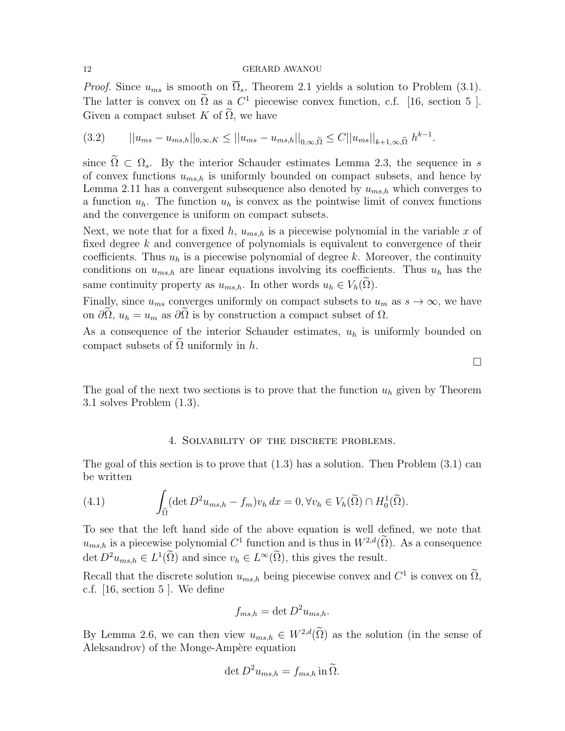*Proof.* Since  $u_{ms}$  is smooth on  $\overline{\Omega}_s$ , Theorem 2.1 yields a solution to Problem (3.1). The latter is convex on  $\Omega$  as a  $C^1$  piecewise convex function, c.f. [16, section 5]. Given a compact subset K of  $\tilde{\Omega}$ , we have

$$
(3.2) \t ||u_{ms} - u_{ms,h}||_{0,\infty,K} \le ||u_{ms} - u_{ms,h}||_{0,\infty,\tilde{\Omega}} \le C||u_{ms}||_{k+1,\infty,\tilde{\Omega}} h^{k-1}.
$$

since  $\widetilde{\Omega} \subset \Omega_s$ . By the interior Schauder estimates Lemma 2.3, the sequence in s of convex functions  $u_{ms,h}$  is uniformly bounded on compact subsets, and hence by Lemma 2.11 has a convergent subsequence also denoted by  $u_{ms,h}$  which converges to a function  $u_h$ . The function  $u_h$  is convex as the pointwise limit of convex functions and the convergence is uniform on compact subsets.

Next, we note that for a fixed h,  $u_{ms,h}$  is a piecewise polynomial in the variable x of fixed degree k and convergence of polynomials is equivalent to convergence of their coefficients. Thus  $u_h$  is a piecewise polynomial of degree k. Moreover, the continuity conditions on  $u_{ms,h}$  are linear equations involving its coefficients. Thus  $u_h$  has the same continuity property as  $u_{ms,h}$ . In other words  $u_h \in V_h(\Omega)$ .

Finally, since  $u_{ms}$  converges uniformly on compact subsets to  $u_m$  as  $s \to \infty$ , we have on  $\partial\Omega$ ,  $u_h = u_m$  as  $\partial\Omega$  is by construction a compact subset of  $\Omega$ .

As a consequence of the interior Schauder estimates,  $u_h$  is uniformly bounded on compact subsets of  $\Omega$  uniformly in h.

The goal of the next two sections is to prove that the function  $u<sub>h</sub>$  given by Theorem 3.1 solves Problem (1.3).

### 4. Solvability of the discrete problems.

The goal of this section is to prove that  $(1.3)$  has a solution. Then Problem  $(3.1)$  can be written

(4.1) 
$$
\int_{\widetilde{\Omega}} (\det D^2 u_{ms,h} - f_m) v_h dx = 0, \forall v_h \in V_h(\widetilde{\Omega}) \cap H_0^1(\widetilde{\Omega}).
$$

To see that the left hand side of the above equation is well defined, we note that  $u_{ms,h}$  is a piecewise polynomial  $C^1$  function and is thus in  $W^{2,d}(\tilde{\Omega})$ . As a consequence det  $D^2 u_{ms,h} \in L^1(\Omega)$  and since  $v_h \in L^{\infty}(\Omega)$ , this gives the result.

Recall that the discrete solution  $u_{ms,h}$  being piecewise convex and  $C^1$  is convex on  $\Omega$ , c.f. [16, section 5 ]. We define

$$
f_{ms,h} = \det D^2 u_{ms,h}.
$$

By Lemma 2.6, we can then view  $u_{ms,h} \in W^{2,d}(\tilde{\Omega})$  as the solution (in the sense of Aleksandrov) of the Monge-Ampère equation

$$
\det D^2 u_{ms,h} = f_{ms,h} \operatorname{in} \widetilde{\Omega}.
$$

 $\Box$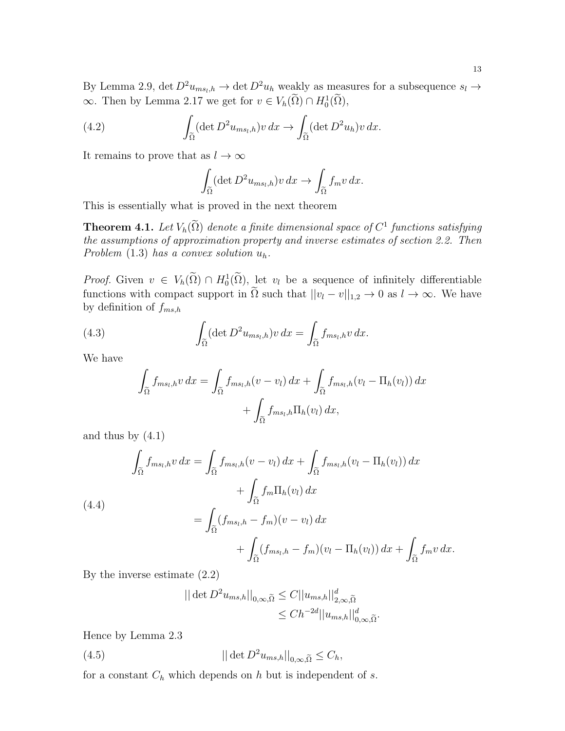By Lemma 2.9, det  $D^2 u_{ms_l,h} \to \det D^2 u_h$  weakly as measures for a subsequence  $s_l \to$  $\infty$ . Then by Lemma 2.17 we get for  $v \in V_h(\Omega) \cap H_0^1(\Omega)$ ,

(4.2) 
$$
\int_{\tilde{\Omega}} (\det D^2 u_{ms_l,h}) v \, dx \to \int_{\tilde{\Omega}} (\det D^2 u_h) v \, dx.
$$

It remains to prove that as  $l \to \infty$ 

$$
\int_{\widetilde{\Omega}} (\det D^2 u_{ms_l,h}) v \, dx \to \int_{\widetilde{\Omega}} f_m v \, dx.
$$

This is essentially what is proved in the next theorem

**Theorem 4.1.** Let  $V_h(\Omega)$  denote a finite dimensional space of  $C^1$  functions satisfying the assumptions of approximation property and inverse estimates of section 2.2. Then Problem  $(1.3)$  has a convex solution  $u_h$ .

*Proof.* Given  $v \in V_h(\Omega) \cap H_0^1(\Omega)$ , let  $v_l$  be a sequence of infinitely differentiable functions with compact support in  $\tilde{\Omega}$  such that  $||v_l - v||_{1,2} \to 0$  as  $l \to \infty$ . We have by definition of  $f_{ms,h}$ 

(4.3) 
$$
\int_{\tilde{\Omega}} (\det D^2 u_{ms_l,h}) v \, dx = \int_{\tilde{\Omega}} f_{ms_l,h} v \, dx.
$$

We have

$$
\int_{\widetilde{\Omega}} f_{ms_l,h} v \, dx = \int_{\widetilde{\Omega}} f_{ms_l,h}(v - v_l) \, dx + \int_{\widetilde{\Omega}} f_{ms_l,h}(v_l - \Pi_h(v_l)) \, dx \n+ \int_{\widetilde{\Omega}} f_{ms_l,h} \Pi_h(v_l) \, dx,
$$

and thus by  $(4.1)$ 

(4.4)  
\n
$$
\int_{\tilde{\Omega}} f_{ms_l,h} v \, dx = \int_{\tilde{\Omega}} f_{ms_l,h}(v-v_l) \, dx + \int_{\tilde{\Omega}} f_{ms_l,h}(v_l - \Pi_h(v_l)) \, dx
$$
\n
$$
+ \int_{\tilde{\Omega}} f_m \Pi_h(v_l) \, dx
$$
\n
$$
= \int_{\tilde{\Omega}} (f_{ms_l,h} - f_m)(v-v_l) \, dx
$$
\n
$$
+ \int_{\tilde{\Omega}} (f_{ms_l,h} - f_m)(v_l - \Pi_h(v_l)) \, dx + \int_{\tilde{\Omega}} f_m v \, dx.
$$

By the inverse estimate (2.2)

$$
\left| \left| \det D^2 u_{ms,h} \right| \right|_{0,\infty,\widetilde{\Omega}} \leq C ||u_{ms,h}||_{2,\infty,\widetilde{\Omega}}^d
$$
  

$$
\leq Ch^{-2d} ||u_{ms,h}||_{0,\infty,\widetilde{\Omega}}^d.
$$

Hence by Lemma 2.3

(4.5) 
$$
||\det D^2 u_{ms,h}||_{0,\infty,\widetilde{\Omega}} \leq C_h,
$$

for a constant  $C_h$  which depends on h but is independent of s.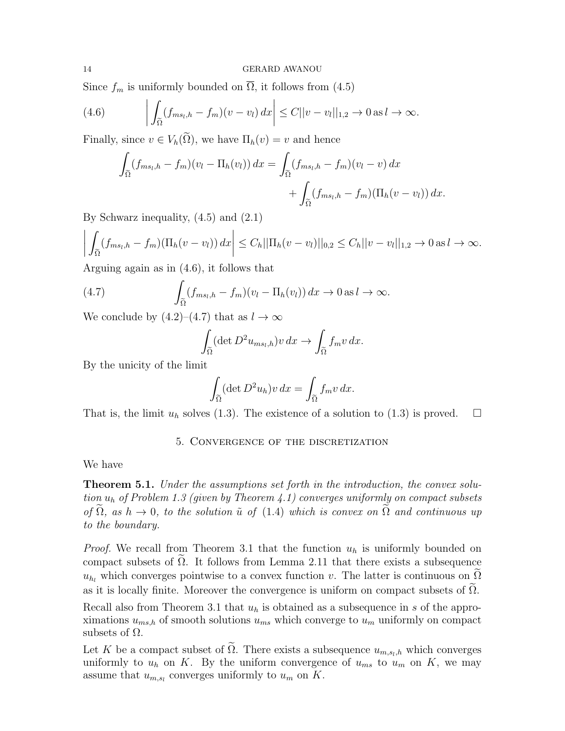Since  $f_m$  is uniformly bounded on  $\overline{\Omega}$ , it follows from (4.5)

(4.6) 
$$
\left| \int_{\widetilde{\Omega}} (f_{ms_l,h} - f_m)(v - v_l) dx \right| \leq C ||v - v_l||_{1,2} \to 0 \text{ as } l \to \infty.
$$

Finally, since  $v \in V_h(\Omega)$ , we have  $\Pi_h(v) = v$  and hence

$$
\int_{\tilde{\Omega}} (f_{ms_l,h} - f_m)(v_l - \Pi_h(v_l)) dx = \int_{\tilde{\Omega}} (f_{ms_l,h} - f_m)(v_l - v) dx \n+ \int_{\tilde{\Omega}} (f_{ms_l,h} - f_m)(\Pi_h(v - v_l)) dx.
$$

By Schwarz inequality, (4.5) and (2.1)

$$
\left| \int_{\widetilde{\Omega}} (f_{ms_l,h} - f_m)(\Pi_h(v - v_l)) dx \right| \leq C_h ||\Pi_h(v - v_l)||_{0,2} \leq C_h ||v - v_l||_{1,2} \to 0 \text{ as } l \to \infty.
$$

Arguing again as in (4.6), it follows that

(4.7) 
$$
\int_{\tilde{\Omega}} (f_{ms_l,h} - f_m)(v_l - \Pi_h(v_l)) dx \to 0 \text{ as } l \to \infty.
$$

We conclude by  $(4.2)$ – $(4.7)$  that as  $l \to \infty$ 

$$
\int_{\tilde{\Omega}} (\det D^2 u_{ms_l,h}) v \, dx \to \int_{\tilde{\Omega}} f_m v \, dx.
$$

By the unicity of the limit

$$
\int_{\widetilde{\Omega}} (\det D^2 u_h) v \, dx = \int_{\widetilde{\Omega}} f_m v \, dx.
$$

That is, the limit  $u_h$  solves (1.3). The existence of a solution to (1.3) is proved.  $\Box$ 

## 5. Convergence of the discretization

### We have

**Theorem 5.1.** Under the assumptions set forth in the introduction, the convex solution  $u_h$  of Problem 1.3 (given by Theorem 4.1) converges uniformly on compact subsets of  $\tilde{\Omega}$ , as  $h \to 0$ , to the solution  $\tilde{u}$  of (1.4) which is convex on  $\tilde{\Omega}$  and continuous up to the boundary.

*Proof.* We recall from Theorem 3.1 that the function  $u_h$  is uniformly bounded on compact subsets of  $Ω$ . It follows from Lemma 2.11 that there exists a subsequence  $u_{h_l}$  which converges pointwise to a convex function v. The latter is continuous on  $\Omega$ as it is locally finite. Moreover the convergence is uniform on compact subsets of  $\Omega$ . Recall also from Theorem 3.1 that  $u<sub>h</sub>$  is obtained as a subsequence in s of the approximations  $u_{ms,h}$  of smooth solutions  $u_{ms}$  which converge to  $u_m$  uniformly on compact subsets of  $\Omega$ .

Let K be a compact subset of  $\Omega$ . There exists a subsequence  $u_{m,s_l,h}$  which converges uniformly to  $u_h$  on K. By the uniform convergence of  $u_{ms}$  to  $u_m$  on K, we may assume that  $u_{m,s_l}$  converges uniformly to  $u_m$  on K.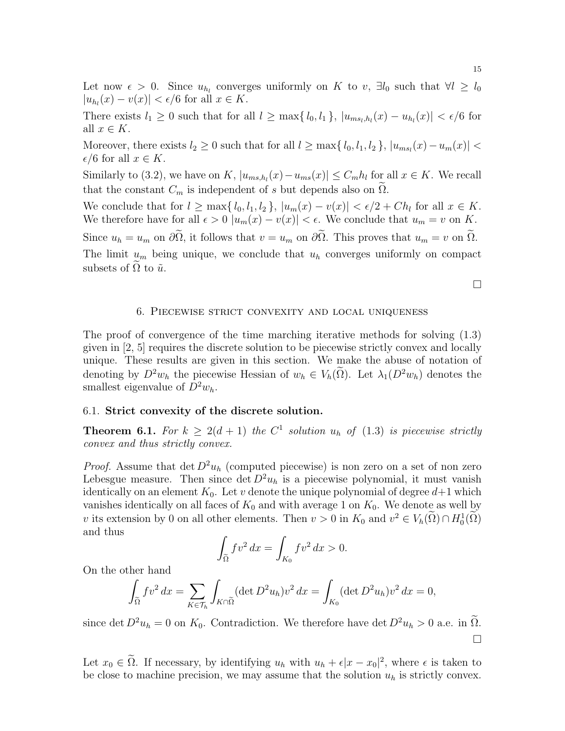Let now  $\epsilon > 0$ . Since  $u_{h_l}$  converges uniformly on K to v,  $\exists l_0$  such that  $\forall l \geq l_0$  $|u_{h_l}(x) - v(x)| < \epsilon/6$  for all  $x \in K$ .

There exists  $l_1 \geq 0$  such that for all  $l \geq \max\{l_0, l_1\}$ ,  $|u_{ms_l,h_l}(x) - u_{h_l}(x)| < \epsilon/6$  for all  $x \in K$ .

Moreover, there exists  $l_2 \geq 0$  such that for all  $l \geq \max\{l_0, l_1, l_2\}$ ,  $|u_{ms_l}(x) - u_m(x)| <$  $\epsilon/6$  for all  $x \in K$ .

Similarly to (3.2), we have on K,  $|u_{ms,h_l}(x) - u_{ms}(x)| \leq C_m h_l$  for all  $x \in K$ . We recall that the constant  $C_m$  is independent of s but depends also on  $\Omega$ .

We conclude that for  $l \ge \max\{l_0, l_1, l_2\}$ ,  $|u_m(x) - v(x)| < \epsilon/2 + Ch_l$  for all  $x \in K$ . We therefore have for all  $\epsilon > 0$   $|u_m(x) - v(x)| < \epsilon$ . We conclude that  $u_m = v$  on K. Since  $u_h = u_m$  on  $\partial \tilde{\Omega}$ , it follows that  $v = u_m$  on  $\partial \tilde{\Omega}$ . This proves that  $u_m = v$  on  $\tilde{\Omega}$ . The limit  $u_m$  being unique, we conclude that  $u_h$  converges uniformly on compact subsets of  $\Omega$  to  $\tilde{u}$ .

 $\Box$ 

### 6. Piecewise strict convexity and local uniqueness

The proof of convergence of the time marching iterative methods for solving (1.3) given in [2, 5] requires the discrete solution to be piecewise strictly convex and locally unique. These results are given in this section. We make the abuse of notation of denoting by  $D^2w_h$  the piecewise Hessian of  $w_h \in V_h(\tilde{\Omega})$ . Let  $\lambda_1(D^2w_h)$  denotes the smallest eigenvalue of  $D^2w_h$ .

# 6.1. Strict convexity of the discrete solution.

**Theorem 6.1.** For  $k \geq 2(d+1)$  the  $C^1$  solution  $u_h$  of (1.3) is piecewise strictly convex and thus strictly convex.

*Proof.* Assume that det  $D^2u_h$  (computed piecewise) is non zero on a set of non zero Lebesgue measure. Then since det  $D^2u_h$  is a piecewise polynomial, it must vanish identically on an element  $K_0$ . Let v denote the unique polynomial of degree  $d+1$  which vanishes identically on all faces of  $K_0$  and with average 1 on  $K_0$ . We denote as well by v its extension by 0 on all other elements. Then  $v > 0$  in  $K_0$  and  $v^2 \in V_h(\Omega) \cap H_0^1(\Omega)$ and thus

$$
\int_{\widetilde{\Omega}} f v^2 dx = \int_{K_0} f v^2 dx > 0.
$$

On the other hand

$$
\int_{\tilde{\Omega}} f v^2 dx = \sum_{K \in \mathcal{T}_h} \int_{K \cap \tilde{\Omega}} (\det D^2 u_h) v^2 dx = \int_{K_0} (\det D^2 u_h) v^2 dx = 0,
$$

since det  $D^2u_h = 0$  on  $K_0$ . Contradiction. We therefore have det  $D^2u_h > 0$  a.e. in  $\tilde{\Omega}$ .  $\Box$ 

Let  $x_0 \in \Omega$ . If necessary, by identifying  $u_h$  with  $u_h + \epsilon |x - x_0|^2$ , where  $\epsilon$  is taken to be close to machine precision, we may assume that the solution  $u<sub>h</sub>$  is strictly convex.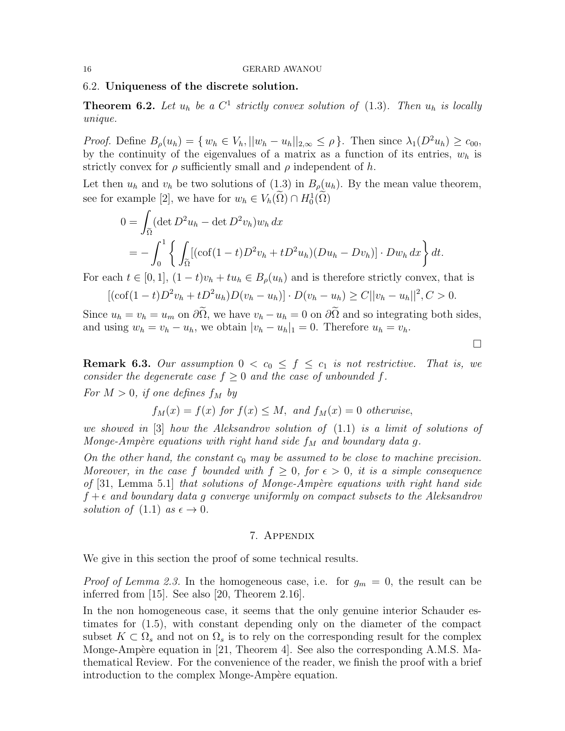### 6.2. Uniqueness of the discrete solution.

**Theorem 6.2.** Let  $u_h$  be a  $C^1$  strictly convex solution of (1.3). Then  $u_h$  is locally unique.

*Proof.* Define  $B_{\rho}(u_h) = \{w_h \in V_h, ||w_h - u_h||_{2,\infty} \leq \rho\}$ . Then since  $\lambda_1(D^2u_h) \geq c_{00}$ , by the continuity of the eigenvalues of a matrix as a function of its entries,  $w_h$  is strictly convex for  $\rho$  sufficiently small and  $\rho$  independent of h.

Let then  $u_h$  and  $v_h$  be two solutions of (1.3) in  $B_\rho(u_h)$ . By the mean value theorem, see for example [2], we have for  $w_h \in V_h(\Omega) \cap H_0^1(\Omega)$ 

$$
0 = \int_{\tilde{\Omega}} (\det D^2 u_h - \det D^2 v_h) w_h dx
$$
  
= 
$$
- \int_0^1 \left\{ \int_{\tilde{\Omega}} [(\cot(1-t)D^2 v_h + t D^2 u_h)(Du_h - Dv_h)] \cdot Dw_h dx \right\} dt.
$$

For each  $t \in [0,1]$ ,  $(1-t)v_h + tu_h \in B_\rho(u_h)$  and is therefore strictly convex, that is

$$
[(\cot(1-t)D^2v_h+tD^2u_h)D(v_h-u_h)]\cdot D(v_h-u_h)\geq C||v_h-u_h||^2, C>0.
$$

Since  $u_h = v_h = u_m$  on  $\partial \tilde{\Omega}$ , we have  $v_h - u_h = 0$  on  $\partial \tilde{\Omega}$  and so integrating both sides, and using  $w_h = v_h - u_h$ , we obtain  $|v_h - u_h|_1 = 0$ . Therefore  $u_h = v_h$ .

**Remark 6.3.** Our assumption  $0 < c_0 \leq f \leq c_1$  is not restrictive. That is, we consider the degenerate case  $f \geq 0$  and the case of unbounded f.

For  $M > 0$ , if one defines  $f_M$  by

$$
f_M(x) = f(x)
$$
 for  $f(x) \leq M$ , and  $f_M(x) = 0$  otherwise,

we showed in [3] how the Aleksandrov solution of (1.1) is a limit of solutions of Monge-Ampère equations with right hand side  $f_M$  and boundary data g.

On the other hand, the constant  $c_0$  may be assumed to be close to machine precision. Moreover, in the case f bounded with  $f \geq 0$ , for  $\epsilon > 0$ , it is a simple consequence of  $[31,$  Lemma 5.1 that solutions of Monge-Ampère equations with right hand side  $f + \epsilon$  and boundary data g converge uniformly on compact subsets to the Aleksandrov solution of  $(1.1)$  as  $\epsilon \rightarrow 0$ .

### 7. Appendix

We give in this section the proof of some technical results.

*Proof of Lemma 2.3.* In the homogeneous case, i.e. for  $g_m = 0$ , the result can be inferred from [15]. See also [20, Theorem 2.16].

In the non homogeneous case, it seems that the only genuine interior Schauder estimates for (1.5), with constant depending only on the diameter of the compact subset  $K \subset \Omega_s$  and not on  $\Omega_s$  is to rely on the corresponding result for the complex Monge-Ampère equation in [21, Theorem 4]. See also the corresponding A.M.S. Mathematical Review. For the convenience of the reader, we finish the proof with a brief introduction to the complex Monge-Ampère equation.

П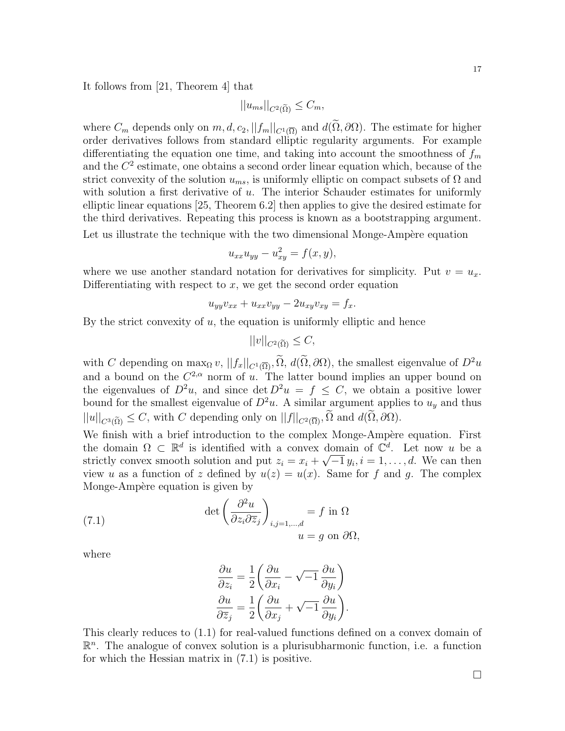It follows from [21, Theorem 4] that

$$
||u_{ms}||_{C^2(\widetilde{\Omega})} \leq C_m,
$$

where  $C_m$  depends only on  $m, d, c_2, ||f_m||_{C^1(\overline{\Omega})}$  and  $d(\widetilde{\Omega}, \partial \Omega)$ . The estimate for higher order derivatives follows from standard elliptic regularity arguments. For example differentiating the equation one time, and taking into account the smoothness of  $f_m$ and the  $C<sup>2</sup>$  estimate, one obtains a second order linear equation which, because of the strict convexity of the solution  $u_{ms}$ , is uniformly elliptic on compact subsets of  $\Omega$  and with solution a first derivative of  $u$ . The interior Schauder estimates for uniformly elliptic linear equations [25, Theorem 6.2] then applies to give the desired estimate for the third derivatives. Repeating this process is known as a bootstrapping argument.

Let us illustrate the technique with the two dimensional Monge-Ampère equation

$$
u_{xx}u_{yy} - u_{xy}^2 = f(x, y),
$$

where we use another standard notation for derivatives for simplicity. Put  $v = u_x$ . Differentiating with respect to  $x$ , we get the second order equation

$$
u_{yy}v_{xx} + u_{xx}v_{yy} - 2u_{xy}v_{xy} = f_x.
$$

By the strict convexity of  $u$ , the equation is uniformly elliptic and hence

$$
||v||_{C^2(\widetilde{\Omega})} \leq C,
$$

with C depending on  $\max_{\Omega} v$ ,  $||f_x||_{C^1(\overline{\Omega})}$ ,  $\widetilde{\Omega}$ ,  $d(\widetilde{\Omega}, \partial \Omega)$ , the smallest eigenvalue of  $D^2u$ and a bound on the  $C^{2,\alpha}$  norm of u. The latter bound implies an upper bound on the eigenvalues of  $D^2u$ , and since  $\det D^2u = f \leq C$ , we obtain a positive lower bound for the smallest eigenvalue of  $D^2u$ . A similar argument applies to  $u<sub>y</sub>$  and thus  $||u||_{C^{3}(\widetilde{\Omega})} \leq C$ , with C depending only on  $||f||_{C^{2}(\overline{\Omega})}, \widetilde{\Omega}$  and  $d(\widetilde{\Omega}, \partial \Omega)$ .

We finish with a brief introduction to the complex Monge-Ampère equation. First the domain  $\Omega \subset \mathbb{R}^d$  is identified with a convex domain of  $\mathbb{C}^d$ . Let now u be a strictly convex smooth solution and put  $z_i = x_i + \sqrt{-1} y_i, i = 1, \ldots, d$ . We can then view u as a function of z defined by  $u(z) = u(x)$ . Same for f and g. The complex Monge-Ampère equation is given by

(7.1) 
$$
\det \left( \frac{\partial^2 u}{\partial z_i \partial \overline{z}_j} \right)_{i,j=1,\dots,d} = f \text{ in } \Omega
$$

$$
u = g \text{ on } \partial \Omega,
$$

where

$$
\frac{\partial u}{\partial z_i} = \frac{1}{2} \left( \frac{\partial u}{\partial x_i} - \sqrt{-1} \frac{\partial u}{\partial y_i} \right)
$$

$$
\frac{\partial u}{\partial \overline{z}_j} = \frac{1}{2} \left( \frac{\partial u}{\partial x_j} + \sqrt{-1} \frac{\partial u}{\partial y_i} \right).
$$

This clearly reduces to (1.1) for real-valued functions defined on a convex domain of  $\mathbb{R}^n$ . The analogue of convex solution is a plurisubharmonic function, i.e. a function for which the Hessian matrix in (7.1) is positive.

 $\Box$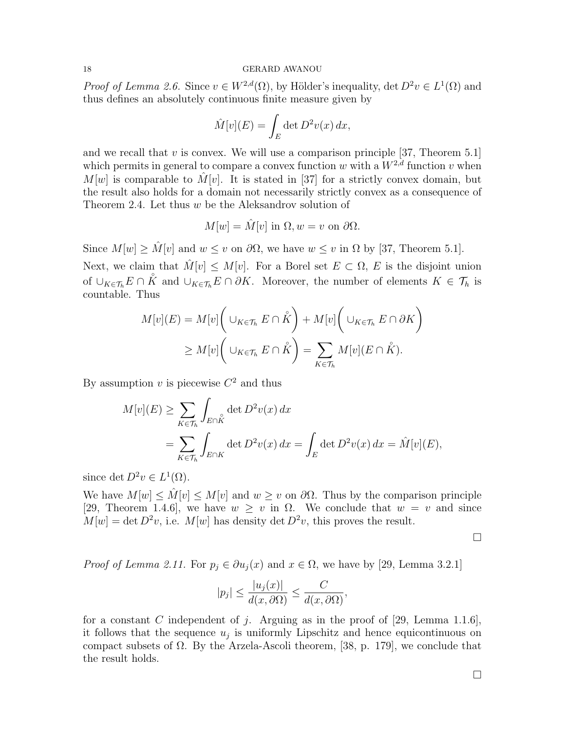*Proof of Lemma 2.6.* Since  $v \in W^{2,d}(\Omega)$ , by Hölder's inequality, det  $D^2v \in L^1(\Omega)$  and thus defines an absolutely continuous finite measure given by

$$
\hat{M}[v](E) = \int_E \det D^2 v(x) \, dx,
$$

and we recall that  $v$  is convex. We will use a comparison principle [37, Theorem 5.1] which permits in general to compare a convex function w with a  $W^{2,d}$  function v when  $M[w]$  is comparable to  $\hat{M}[v]$ . It is stated in [37] for a strictly convex domain, but the result also holds for a domain not necessarily strictly convex as a consequence of Theorem 2.4. Let thus w be the Aleksandrov solution of

$$
M[w] = \hat{M}[v] \text{ in } \Omega, w = v \text{ on } \partial\Omega.
$$

Since  $M[w] \geq \hat{M}[v]$  and  $w \leq v$  on  $\partial\Omega$ , we have  $w \leq v$  in  $\Omega$  by [37, Theorem 5.1].

Next, we claim that  $\hat{M}[v] \leq M[v]$ . For a Borel set  $E \subset \Omega$ , E is the disjoint union of  $\cup_{K\in\mathcal{T}_h} E \cap \mathring{K}$  and  $\cup_{K\in\mathcal{T}_h} E \cap \partial K$ . Moreover, the number of elements  $K \in \mathcal{T}_h$  is countable. Thus

$$
M[v](E) = M[v] \left( \cup_{K \in \mathcal{T}_h} E \cap \mathring{K} \right) + M[v] \left( \cup_{K \in \mathcal{T}_h} E \cap \partial K \right)
$$
  
\n
$$
\geq M[v] \left( \cup_{K \in \mathcal{T}_h} E \cap \mathring{K} \right) = \sum_{K \in \mathcal{T}_h} M[v](E \cap \mathring{K}).
$$

By assumption  $v$  is piecewise  $C^2$  and thus

$$
M[v](E) \ge \sum_{K \in \mathcal{T}_h} \int_{E \cap K} \det D^2 v(x) dx
$$
  
= 
$$
\sum_{K \in \mathcal{T}_h} \int_{E \cap K} \det D^2 v(x) dx = \int_E \det D^2 v(x) dx = \hat{M}[v](E),
$$

since det  $D^2v \in L^1(\Omega)$ .

We have  $M[w] \leq \hat{M}[v] \leq M[v]$  and  $w \geq v$  on  $\partial\Omega$ . Thus by the comparison principle [29, Theorem 1.4.6], we have  $w \geq v$  in  $\Omega$ . We conclude that  $w = v$  and since  $M[w] = \det D^2 v$ , i.e.  $M[w]$  has density  $\det D^2 v$ , this proves the result.

 $\Box$ 

*Proof of Lemma 2.11.* For  $p_j \in \partial u_j(x)$  and  $x \in \Omega$ , we have by [29, Lemma 3.2.1]

$$
|p_j| \le \frac{|u_j(x)|}{d(x, \partial \Omega)} \le \frac{C}{d(x, \partial \Omega)},
$$

for a constant C independent of j. Arguing as in the proof of [29, Lemma 1.1.6], it follows that the sequence  $u_j$  is uniformly Lipschitz and hence equicontinuous on compact subsets of Ω. By the Arzela-Ascoli theorem, [38, p. 179], we conclude that the result holds.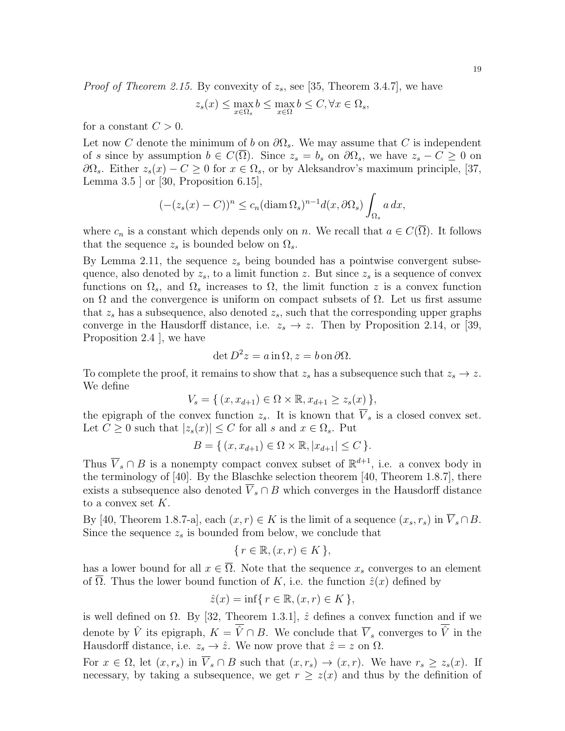*Proof of Theorem 2.15.* By convexity of  $z_s$ , see [35, Theorem 3.4.7], we have

$$
z_s(x) \leq \max_{x \in \Omega_s} b \leq \max_{x \in \Omega} b \leq C, \forall x \in \Omega_s,
$$

for a constant  $C > 0$ .

Let now C denote the minimum of b on  $\partial\Omega_s$ . We may assume that C is independent of s since by assumption  $b \in C(\overline{\Omega})$ . Since  $z_s = b_s$  on  $\partial\Omega_s$ , we have  $z_s - C \geq 0$  on  $\partial\Omega_s$ . Either  $z_s(x) - C \geq 0$  for  $x \in \Omega_s$ , or by Aleksandrov's maximum principle, [37, Lemma 3.5  $\vert$  or  $\vert$  30, Proposition 6.15 $\vert$ ,

$$
(-(z_s(x) - C))^n \le c_n (\operatorname{diam} \Omega_s)^{n-1} d(x, \partial \Omega_s) \int_{\Omega_s} a \, dx,
$$

where  $c_n$  is a constant which depends only on n. We recall that  $a \in C(\overline{\Omega})$ . It follows that the sequence  $z_s$  is bounded below on  $\Omega_s$ .

By Lemma 2.11, the sequence  $z_s$  being bounded has a pointwise convergent subsequence, also denoted by  $z_s$ , to a limit function z. But since  $z_s$  is a sequence of convex functions on  $\Omega_s$ , and  $\Omega_s$  increases to  $\Omega$ , the limit function z is a convex function on  $\Omega$  and the convergence is uniform on compact subsets of  $\Omega$ . Let us first assume that  $z_s$  has a subsequence, also denoted  $z_s$ , such that the corresponding upper graphs converge in the Hausdorff distance, i.e.  $z_s \to z$ . Then by Proposition 2.14, or [39, Proposition 2.4 ], we have

$$
\det D^2 z = a \operatorname{in} \Omega, z = b \operatorname{on} \partial \Omega.
$$

To complete the proof, it remains to show that  $z_s$  has a subsequence such that  $z_s \to z$ . We define

$$
V_s = \{ (x, x_{d+1}) \in \Omega \times \mathbb{R}, x_{d+1} \ge z_s(x) \},
$$

the epigraph of the convex function  $z_s$ . It is known that  $\overline{V}_s$  is a closed convex set. Let  $C \geq 0$  such that  $|z_s(x)| \leq C$  for all s and  $x \in \Omega_s$ . Put

$$
B = \{ (x, x_{d+1}) \in \Omega \times \mathbb{R}, |x_{d+1}| \le C \}.
$$

Thus  $\overline{V}_s \cap B$  is a nonempty compact convex subset of  $\mathbb{R}^{d+1}$ , i.e. a convex body in the terminology of [40]. By the Blaschke selection theorem [40, Theorem 1.8.7], there exists a subsequence also denoted  $\overline{V}_s \cap B$  which converges in the Hausdorff distance to a convex set  $K$ .

By [40, Theorem 1.8.7-a], each  $(x, r) \in K$  is the limit of a sequence  $(x_s, r_s)$  in  $\overline{V}_s \cap B$ . Since the sequence  $z_s$  is bounded from below, we conclude that

$$
\{r \in \mathbb{R}, (x, r) \in K\},\
$$

has a lower bound for all  $x \in \overline{\Omega}$ . Note that the sequence  $x_s$  converges to an element of  $\Omega$ . Thus the lower bound function of K, i.e. the function  $\hat{z}(x)$  defined by

$$
\hat{z}(x) = \inf\{r \in \mathbb{R}, (x, r) \in K\},\
$$

is well defined on  $\Omega$ . By [32, Theorem 1.3.1],  $\hat{z}$  defines a convex function and if we denote by  $\hat{V}$  its epigraph,  $K = \overline{\hat{V}} \cap B$ . We conclude that  $\overline{V}_s$  converges to  $\overline{\hat{V}}$  in the Hausdorff distance, i.e.  $z_s \to \hat{z}$ . We now prove that  $\hat{z} = z$  on  $\Omega$ .

For  $x \in \Omega$ , let  $(x, r_s)$  in  $\overline{V}_s \cap B$  such that  $(x, r_s) \to (x, r)$ . We have  $r_s \geq z_s(x)$ . If necessary, by taking a subsequence, we get  $r \geq z(x)$  and thus by the definition of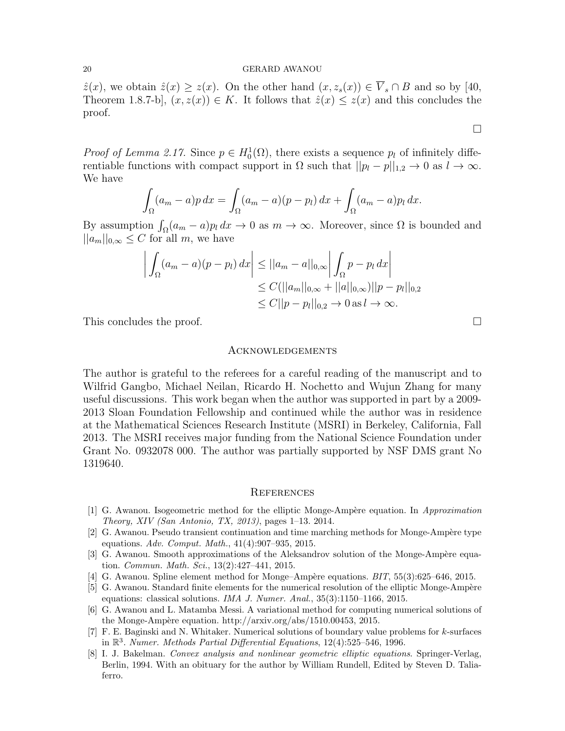$\hat{z}(x)$ , we obtain  $\hat{z}(x) \geq z(x)$ . On the other hand  $(x, z_s(x)) \in \overline{V}_s \cap B$  and so by [40, Theorem 1.8.7-b],  $(x, z(x)) \in K$ . It follows that  $\hat{z}(x) \leq z(x)$  and this concludes the proof.

*Proof of Lemma 2.17.* Since  $p \in H_0^1(\Omega)$ , there exists a sequence  $p_l$  of infinitely differentiable functions with compact support in  $\Omega$  such that  $||p_l - p||_{1,2} \to 0$  as  $l \to \infty$ . We have

$$
\int_{\Omega} (a_m - a)p \, dx = \int_{\Omega} (a_m - a)(p - p_l) \, dx + \int_{\Omega} (a_m - a)p_l \, dx.
$$

By assumption  $\int_{\Omega} (a_m - a)p_l dx \to 0$  as  $m \to \infty$ . Moreover, since  $\Omega$  is bounded and  $||a_m||_{0,\infty} \leq C$  for all m, we have

$$
\left| \int_{\Omega} (a_m - a)(p - p_l) dx \right| \le ||a_m - a||_{0,\infty} \left| \int_{\Omega} p - p_l dx \right|
$$
  
\n
$$
\le C(||a_m||_{0,\infty} + ||a||_{0,\infty}) ||p - p_l||_{0,2}
$$
  
\n
$$
\le C||p - p_l||_{0,2} \to 0 \text{ as } l \to \infty.
$$

This concludes the proof.

### Acknowledgements

The author is grateful to the referees for a careful reading of the manuscript and to Wilfrid Gangbo, Michael Neilan, Ricardo H. Nochetto and Wujun Zhang for many useful discussions. This work began when the author was supported in part by a 2009- 2013 Sloan Foundation Fellowship and continued while the author was in residence at the Mathematical Sciences Research Institute (MSRI) in Berkeley, California, Fall 2013. The MSRI receives major funding from the National Science Foundation under Grant No. 0932078 000. The author was partially supported by NSF DMS grant No 1319640.

#### **REFERENCES**

- [1] G. Awanou. Isogeometric method for the elliptic Monge-Ampère equation. In Approximation Theory, XIV (San Antonio, TX, 2013), pages 1–13. 2014.
- [2] G. Awanou. Pseudo transient continuation and time marching methods for Monge-Amp`ere type equations. Adv. Comput. Math., 41(4):907–935, 2015.
- [3] G. Awanou. Smooth approximations of the Aleksandrov solution of the Monge-Ampère equation. Commun. Math. Sci., 13(2):427–441, 2015.
- [4] G. Awanou. Spline element method for Monge–Ampère equations.  $BIT, 55(3):625–646, 2015$ .
- [5] G. Awanou. Standard finite elements for the numerical resolution of the elliptic Monge-Ampère equations: classical solutions. IMA J. Numer. Anal., 35(3):1150–1166, 2015.
- [6] G. Awanou and L. Matamba Messi. A variational method for computing numerical solutions of the Monge-Ampère equation. http://arxiv.org/abs/1510.00453, 2015.
- [7] F. E. Baginski and N. Whitaker. Numerical solutions of boundary value problems for k-surfaces in  $\mathbb{R}^3$ . Numer. Methods Partial Differential Equations, 12(4):525–546, 1996.
- [8] I. J. Bakelman. Convex analysis and nonlinear geometric elliptic equations. Springer-Verlag, Berlin, 1994. With an obituary for the author by William Rundell, Edited by Steven D. Taliaferro.

 $\Box$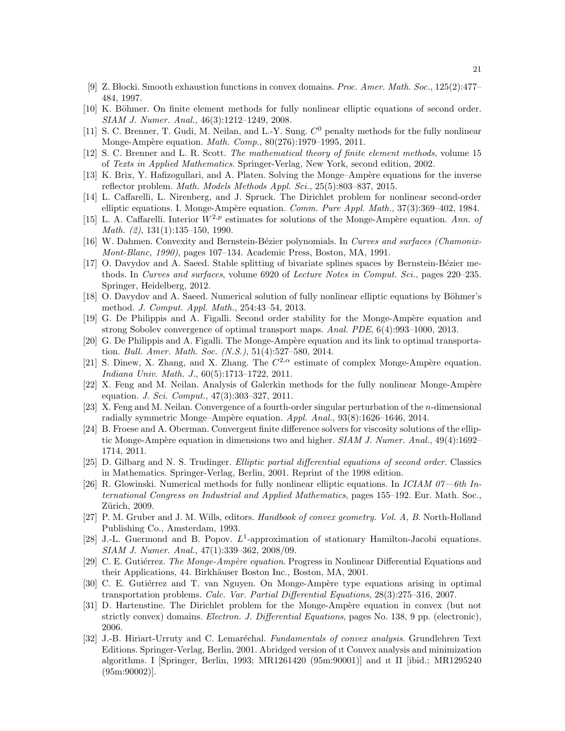- [9] Z. B locki. Smooth exhaustion functions in convex domains. Proc. Amer. Math. Soc., 125(2):477– 484, 1997.
- [10] K. Böhmer. On finite element methods for fully nonlinear elliptic equations of second order. SIAM J. Numer. Anal., 46(3):1212–1249, 2008.
- [11] S. C. Brenner, T. Gudi, M. Neilan, and L.-Y. Sung.  $C^0$  penalty methods for the fully nonlinear Monge-Ampère equation. Math. Comp., 80(276):1979-1995, 2011.
- [12] S. C. Brenner and L. R. Scott. The mathematical theory of finite element methods, volume 15 of Texts in Applied Mathematics. Springer-Verlag, New York, second edition, 2002.
- [13] K. Brix, Y. Hafizogullari, and A. Platen. Solving the Monge–Ampère equations for the inverse reflector problem. Math. Models Methods Appl. Sci., 25(5):803–837, 2015.
- [14] L. Caffarelli, L. Nirenberg, and J. Spruck. The Dirichlet problem for nonlinear second-order elliptic equations. I. Monge-Ampère equation. Comm. Pure Appl. Math., 37(3):369–402, 1984.
- [15] L. A. Caffarelli. Interior  $W^{2,p}$  estimates for solutions of the Monge-Ampère equation. Ann. of Math. (2), 131(1):135–150, 1990.
- [16] W. Dahmen. Convexity and Bernstein-Bézier polynomials. In Curves and surfaces (Chamonix-Mont-Blanc, 1990), pages 107–134. Academic Press, Boston, MA, 1991.
- [17] O. Davydov and A. Saeed. Stable splitting of bivariate splines spaces by Bernstein-Bézier methods. In Curves and surfaces, volume 6920 of Lecture Notes in Comput. Sci., pages 220–235. Springer, Heidelberg, 2012.
- [18] O. Davydov and A. Saeed. Numerical solution of fully nonlinear elliptic equations by Böhmer's method. J. Comput. Appl. Math., 254:43–54, 2013.
- [19] G. De Philippis and A. Figalli. Second order stability for the Monge-Ampère equation and strong Sobolev convergence of optimal transport maps. Anal. PDE, 6(4):993–1000, 2013.
- [20] G. De Philippis and A. Figalli. The Monge-Ampère equation and its link to optimal transportation. Bull. Amer. Math. Soc. (N.S.), 51(4):527–580, 2014.
- [21] S. Dinew, X. Zhang, and X. Zhang. The  $C^{2,\alpha}$  estimate of complex Monge-Ampère equation. Indiana Univ. Math. J., 60(5):1713–1722, 2011.
- [22] X. Feng and M. Neilan. Analysis of Galerkin methods for the fully nonlinear Monge-Ampère equation. J. Sci. Comput., 47(3):303–327, 2011.
- [23] X. Feng and M. Neilan. Convergence of a fourth-order singular perturbation of the n-dimensional radially symmetric Monge–Ampère equation.  $Appl.$  Anal.,  $93(8):1626-1646$ ,  $2014$ .
- [24] B. Froese and A. Oberman. Convergent finite difference solvers for viscosity solutions of the elliptic Monge-Ampère equation in dimensions two and higher.  $SIAM J. Numer. Anal., 49(4):1692-$ 1714, 2011.
- [25] D. Gilbarg and N. S. Trudinger. Elliptic partial differential equations of second order. Classics in Mathematics. Springer-Verlag, Berlin, 2001. Reprint of the 1998 edition.
- [26] R. Glowinski. Numerical methods for fully nonlinear elliptic equations. In *ICIAM 07—6th In*ternational Congress on Industrial and Applied Mathematics, pages 155–192. Eur. Math. Soc., Zürich, 2009.
- [27] P. M. Gruber and J. M. Wills, editors. Handbook of convex geometry. Vol. A, B. North-Holland Publishing Co., Amsterdam, 1993.
- [28] J.-L. Guermond and B. Popov.  $L^1$ -approximation of stationary Hamilton-Jacobi equations. SIAM J. Numer. Anal., 47(1):339–362, 2008/09.
- [29] C. E. Gutiérrez. The Monge-Ampère equation. Progress in Nonlinear Differential Equations and their Applications, 44. Birkhäuser Boston Inc., Boston, MA, 2001.
- [30] C. E. Gutiérrez and T. van Nguyen. On Monge-Ampère type equations arising in optimal transportation problems. Calc. Var. Partial Differential Equations, 28(3):275–316, 2007.
- [31] D. Hartenstine. The Dirichlet problem for the Monge-Ampère equation in convex (but not strictly convex) domains. Electron. J. Differential Equations, pages No. 138, 9 pp. (electronic), 2006.
- [32] J.-B. Hiriart-Urruty and C. Lemaréchal. Fundamentals of convex analysis. Grundlehren Text Editions. Springer-Verlag, Berlin, 2001. Abridged version of ıt Convex analysis and minimization algorithms. I [Springer, Berlin, 1993; MR1261420 (95m:90001)] and ıt II [ibid.; MR1295240 (95m:90002)].